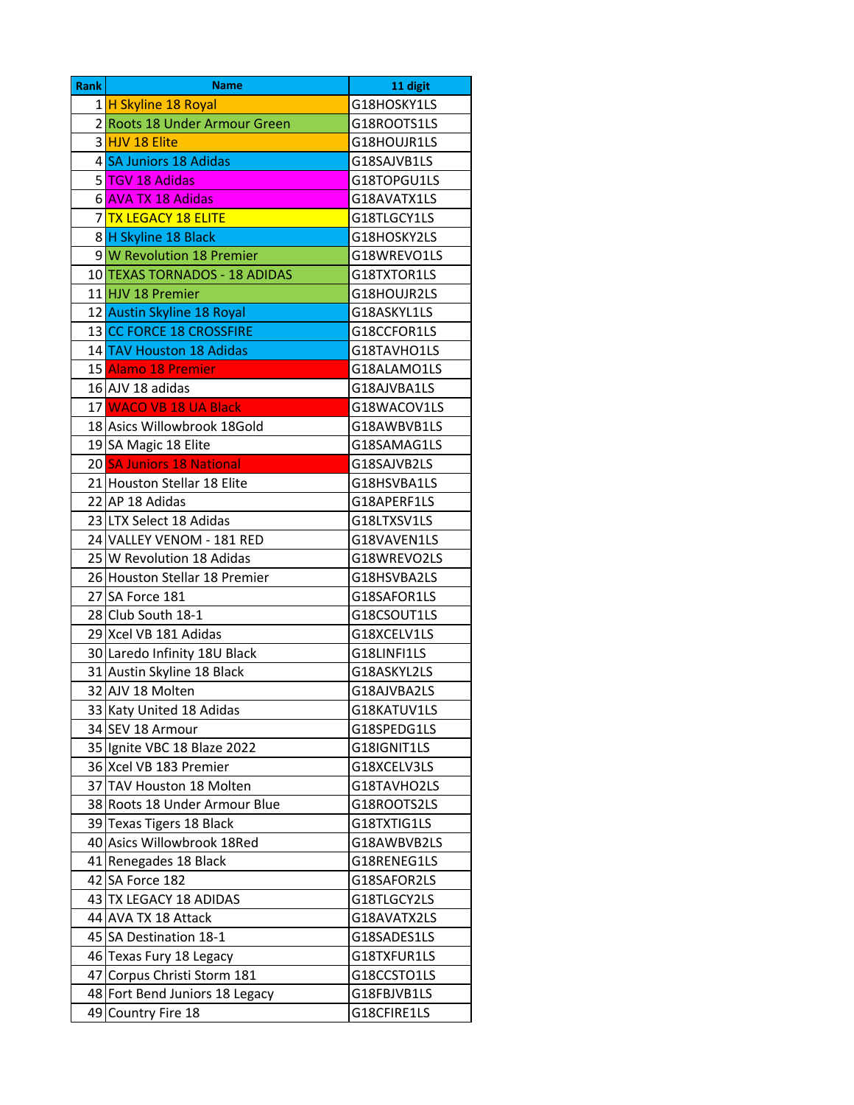| Rank | <b>Name</b>                    | 11 digit    |
|------|--------------------------------|-------------|
|      | 1 H Skyline 18 Royal           | G18HOSKY1LS |
|      | 2 Roots 18 Under Armour Green  | G18ROOTS1LS |
|      | 3 HJV 18 Elite                 | G18HOUJR1LS |
|      | 4 SA Juniors 18 Adidas         | G18SAJVB1LS |
|      | 5 TGV 18 Adidas                | G18TOPGU1LS |
|      | 6 AVA TX 18 Adidas             | G18AVATX1LS |
|      | 7 TX LEGACY 18 ELITE           | G18TLGCY1LS |
|      | 8 H Skyline 18 Black           | G18HOSKY2LS |
|      | 9 W Revolution 18 Premier      | G18WREVO1LS |
|      | 10 TEXAS TORNADOS - 18 ADIDAS  | G18TXTOR1LS |
|      | 11 HJV 18 Premier              | G18HOUJR2LS |
|      | 12 Austin Skyline 18 Royal     | G18ASKYL1LS |
|      | 13 CC FORCE 18 CROSSFIRE       | G18CCFOR1LS |
|      | 14 TAV Houston 18 Adidas       | G18TAVHO1LS |
|      | 15 Alamo 18 Premier            | G18ALAMO1LS |
|      | 16 AJV 18 adidas               | G18AJVBA1LS |
|      | 17 WACO VB 18 UA Black         | G18WACOV1LS |
|      | 18 Asics Willowbrook 18Gold    | G18AWBVB1LS |
|      | 19 SA Magic 18 Elite           | G18SAMAG1LS |
|      | 20 SA Juniors 18 National      | G18SAJVB2LS |
|      | 21 Houston Stellar 18 Elite    | G18HSVBA1LS |
|      | 22 AP 18 Adidas                | G18APERF1LS |
|      | 23 LTX Select 18 Adidas        | G18LTXSV1LS |
|      | 24 VALLEY VENOM - 181 RED      | G18VAVEN1LS |
|      | 25 W Revolution 18 Adidas      | G18WREVO2LS |
|      | 26 Houston Stellar 18 Premier  | G18HSVBA2LS |
|      | 27 SA Force 181                | G18SAFOR1LS |
|      | 28 Club South 18-1             | G18CSOUT1LS |
|      | 29 Xcel VB 181 Adidas          | G18XCELV1LS |
|      | 30 Laredo Infinity 18U Black   | G18LINFI1LS |
|      | 31 Austin Skyline 18 Black     | G18ASKYL2LS |
|      | 32 AJV 18 Molten               | G18AJVBA2LS |
|      | 33 Katy United 18 Adidas       | G18KATUV1LS |
|      | 34 SEV 18 Armour               | G18SPEDG1LS |
|      | 35 Ignite VBC 18 Blaze 2022    | G18IGNIT1LS |
|      | 36 Xcel VB 183 Premier         | G18XCELV3LS |
|      | 37 TAV Houston 18 Molten       | G18TAVHO2LS |
|      | 38 Roots 18 Under Armour Blue  | G18ROOTS2LS |
|      | 39 Texas Tigers 18 Black       | G18TXTIG1LS |
|      | 40 Asics Willowbrook 18Red     | G18AWBVB2LS |
|      | 41 Renegades 18 Black          | G18RENEG1LS |
|      | 42 SA Force 182                | G18SAFOR2LS |
|      | 43 TX LEGACY 18 ADIDAS         | G18TLGCY2LS |
|      | 44 AVA TX 18 Attack            | G18AVATX2LS |
|      | 45 SA Destination 18-1         | G18SADES1LS |
|      | 46 Texas Fury 18 Legacy        | G18TXFUR1LS |
|      | 47 Corpus Christi Storm 181    | G18CCSTO1LS |
|      | 48 Fort Bend Juniors 18 Legacy | G18FBJVB1LS |
| 49   | Country Fire 18                | G18CFIRE1LS |